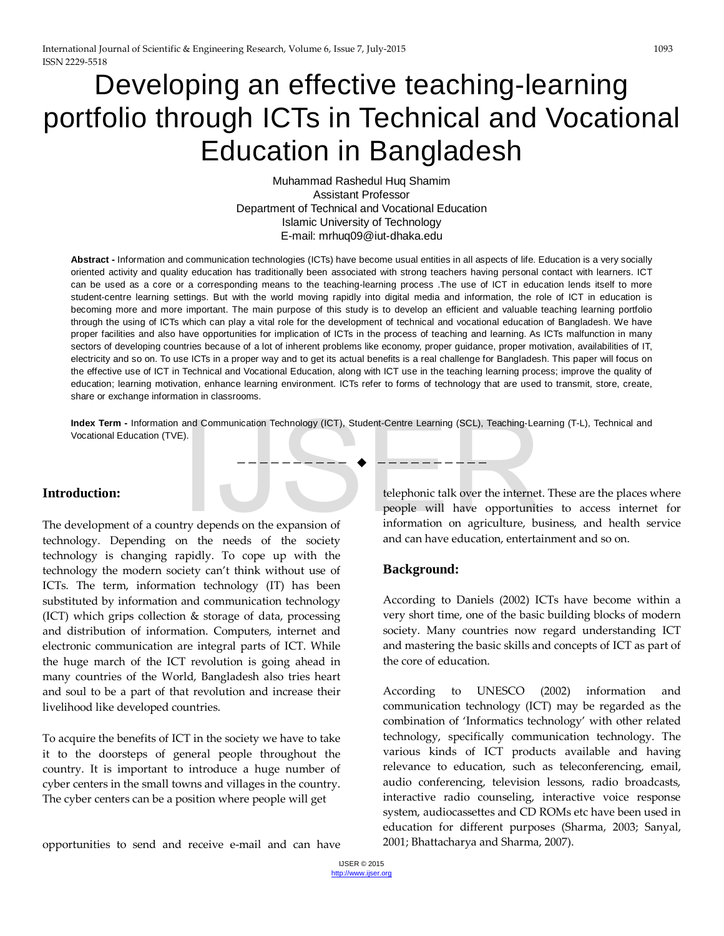# Developing an effective teaching-learning portfolio through ICTs in Technical and Vocational Education in Bangladesh

Muhammad Rashedul Huq Shamim Assistant Professor Department of Technical and Vocational Education Islamic University of Technology E-mail: mrhuq09@iut-dhaka.edu

**Abstract -** Information and communication technologies (ICTs) have become usual entities in all aspects of life. Education is a very socially oriented activity and quality education has traditionally been associated with strong teachers having personal contact with learners. ICT can be used as a core or a corresponding means to the teaching-learning process .The use of ICT in education lends itself to more student-centre learning settings. But with the world moving rapidly into digital media and information, the role of ICT in education is becoming more and more important. The main purpose of this study is to develop an efficient and valuable teaching learning portfolio through the using of ICTs which can play a vital role for the development of technical and vocational education of Bangladesh. We have proper facilities and also have opportunities for implication of ICTs in the process of teaching and learning. As ICTs malfunction in many sectors of developing countries because of a lot of inherent problems like economy, proper guidance, proper motivation, availabilities of IT, electricity and so on. To use ICTs in a proper way and to get its actual benefits is a real challenge for Bangladesh. This paper will focus on the effective use of ICT in Technical and Vocational Education, along with ICT use in the teaching learning process; improve the quality of education; learning motivation, enhance learning environment. ICTs refer to forms of technology that are used to transmit, store, create, share or exchange information in classrooms.

**Index Term -** Information and Communication Technology (ICT), Student-Centre Learning (SCL), Teaching-Learning (T-L), Technical and Vocational Education (TVE).

#### **Introduction:**

The development of a country depends on the expansion of technology. Depending on the needs of the society technology is changing rapidly. To cope up with the technology the modern society can't think without use of ICTs. The term, information technology (IT) has been substituted by information and communication technology (ICT) which grips collection & storage of data, processing and distribution of information. Computers, internet and electronic communication are integral parts of ICT. While the huge march of the ICT revolution is going ahead in many countries of the World, Bangladesh also tries heart and soul to be a part of that revolution and increase their livelihood like developed countries.

To acquire the benefits of ICT in the society we have to take it to the doorsteps of general people throughout the country. It is important to introduce a huge number of cyber centers in the small towns and villages in the country. The cyber centers can be a position where people will get

telephonic talk over the internet. These are the places where people will have opportunities to access internet for information on agriculture, business, and health service and can have education, entertainment and so on. and Communication Technology (ICT), Student-Centre Learning (SCL), Teaching-Lea<br>  $\begin{array}{c}\n- \text{---} \text{---} \rightarrow \text{---} \rightarrow \text{---} \rightarrow \text{---} \rightarrow \text{---} \rightarrow \text{---} \rightarrow \text{---} \rightarrow \text{---} \rightarrow \text{---} \rightarrow \text{---} \rightarrow \text{---} \rightarrow \text{---} \rightarrow \text{---} \rightarrow \text{---} \rightarrow \text{---} \rightarrow \text{---} \rightarrow \text{---} \rightarrow \text{---} \$ 

#### **Background:**

—————————— ——————————

According to Daniels (2002) ICTs have become within a very short time, one of the basic building blocks of modern society. Many countries now regard understanding ICT and mastering the basic skills and concepts of ICT as part of the core of education.

According to UNESCO (2002) information and communication technology (ICT) may be regarded as the combination of 'Informatics technology' with other related technology, specifically communication technology. The various kinds of ICT products available and having relevance to education, such as teleconferencing, email, audio conferencing, television lessons, radio broadcasts, interactive radio counseling, interactive voice response system, audiocassettes and CD ROMs etc have been used in education for different purposes (Sharma, 2003; Sanyal, 2001; Bhattacharya and Sharma, 2007).

opportunities to send and receive e-mail and can have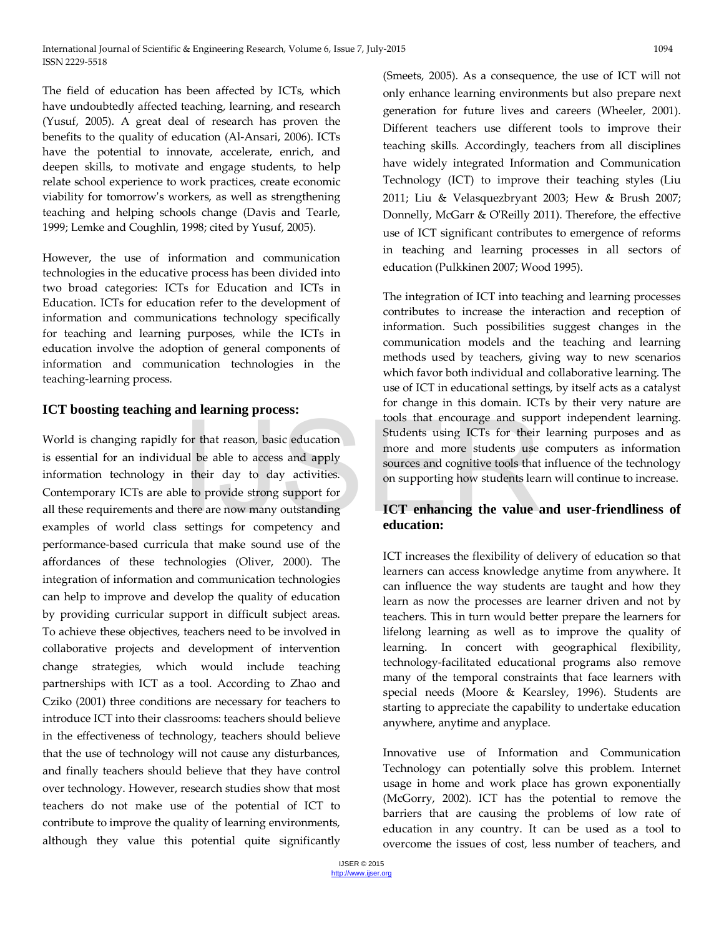The field of education has been affected by ICTs, which have undoubtedly affected teaching, learning, and research (Yusuf, 2005). A great deal of research has proven the benefits to the quality of education (Al-Ansari, 2006). ICTs have the potential to innovate, accelerate, enrich, and deepen skills, to motivate and engage students, to help relate school experience to work practices, create economic viability for tomorrow's workers, as well as strengthening teaching and helping schools change (Davis and Tearle, 1999; Lemke and Coughlin, 1998; cited by Yusuf, 2005).

However, the use of information and communication technologies in the educative process has been divided into two broad categories: ICTs for Education and ICTs in Education. ICTs for education refer to the development of information and communications technology specifically for teaching and learning purposes, while the ICTs in education involve the adoption of general components of information and communication technologies in the teaching-learning process.

#### **ICT boosting teaching and learning process:**

World is changing rapidly for that reason, basic education is essential for an individual be able to access and apply information technology in their day to day activities. Contemporary ICTs are able to provide strong support for all these requirements and there are now many outstanding examples of world class settings for competency and performance-based curricula that make sound use of the affordances of these technologies (Oliver, 2000). The integration of information and communication technologies can help to improve and develop the quality of education by providing curricular support in difficult subject areas. To achieve these objectives, teachers need to be involved in collaborative projects and development of intervention change strategies, which would include teaching partnerships with ICT as a tool. According to Zhao and Cziko (2001) three conditions are necessary for teachers to introduce ICT into their classrooms: teachers should believe in the effectiveness of technology, teachers should believe that the use of technology will not cause any disturbances, and finally teachers should believe that they have control over technology. However, research studies show that most teachers do not make use of the potential of ICT to contribute to improve the quality of learning environments, although they value this potential quite significantly For that reason, basic education<br>
International be able to access and apply<br>
all be able to access and apply<br>
a their day to day activities.<br>
External their day to day activities.<br>
External to provide strong support for<br>
h

(Smeets, 2005). As a consequence, the use of ICT will not only enhance learning environments but also prepare next generation for future lives and careers (Wheeler, 2001). Different teachers use different tools to improve their teaching skills. Accordingly, teachers from all disciplines have widely integrated Information and Communication Technology (ICT) to improve their teaching styles (Liu 2011; Liu & Velasquezbryant 2003; Hew & Brush 2007; Donnelly, McGarr & O'Reilly 2011). Therefore, the effective use of ICT significant contributes to emergence of reforms in teaching and learning processes in all sectors of education (Pulkkinen 2007; Wood 1995).

The integration of ICT into teaching and learning processes contributes to increase the interaction and reception of information. Such possibilities suggest changes in the communication models and the teaching and learning methods used by teachers, giving way to new scenarios which favor both individual and collaborative learning. The use of ICT in educational settings, by itself acts as a catalyst for change in this domain. ICTs by their very nature are tools that encourage and support independent learning. Students using ICTs for their learning purposes and as more and more students use computers as information sources and cognitive tools that influence of the technology on supporting how students learn will continue to increase.

# **ICT enhancing the value and user-friendliness of education:**

ICT increases the flexibility of delivery of education so that learners can access knowledge anytime from anywhere. It can influence the way students are taught and how they learn as now the processes are learner driven and not by teachers. This in turn would better prepare the learners for lifelong learning as well as to improve the quality of learning. In concert with geographical flexibility, technology-facilitated educational programs also remove many of the temporal constraints that face learners with special needs (Moore & Kearsley, 1996). Students are starting to appreciate the capability to undertake education anywhere, anytime and anyplace.

Innovative use of Information and Communication Technology can potentially solve this problem. Internet usage in home and work place has grown exponentially (McGorry, 2002). ICT has the potential to remove the barriers that are causing the problems of low rate of education in any country. It can be used as a tool to overcome the issues of cost, less number of teachers, and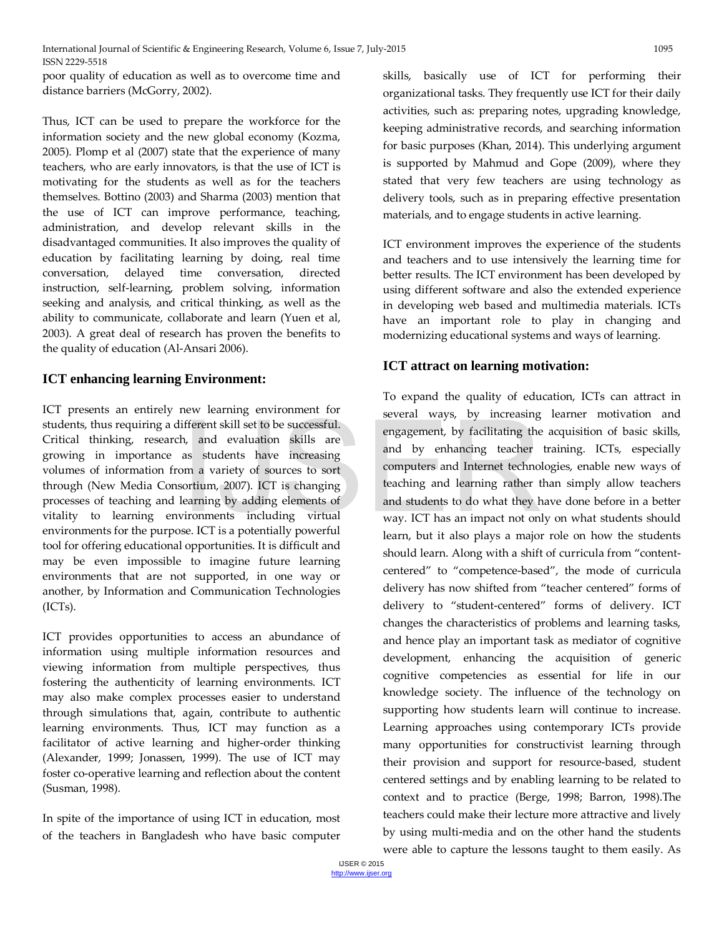poor quality of education as well as to overcome time and distance barriers (McGorry, 2002).

Thus, ICT can be used to prepare the workforce for the information society and the new global economy (Kozma, 2005). Plomp et al (2007) state that the experience of many teachers, who are early innovators, is that the use of ICT is motivating for the students as well as for the teachers themselves. Bottino (2003) and Sharma (2003) mention that the use of ICT can improve performance, teaching, administration, and develop relevant skills in the disadvantaged communities. It also improves the quality of education by facilitating learning by doing, real time conversation, delayed time conversation, directed instruction, self-learning, problem solving, information seeking and analysis, and critical thinking, as well as the ability to communicate, collaborate and learn (Yuen et al, 2003). A great deal of research has proven the benefits to the quality of education (Al-Ansari 2006).

# **ICT enhancing learning Environment:**

ICT presents an entirely new learning environment for students, thus requiring a different skill set to be successful. Critical thinking, research, and evaluation skills are growing in importance as students have increasing volumes of information from a variety of sources to sort through (New Media Consortium, 2007). ICT is changing processes of teaching and learning by adding elements of vitality to learning environments including virtual environments for the purpose. ICT is a potentially powerful tool for offering educational opportunities. It is difficult and may be even impossible to imagine future learning environments that are not supported, in one way or another, by Information and Communication Technologies (ICTs). ifferent skill set to be successful.<br>
h, and evaluation skills are<br>
as students have increasing<br>
om a variety of sources to sort<br>
oortium, 2007). ICT is changing<br>
learning by adding elements of<br>
vironments including virtua

ICT provides opportunities to access an abundance of information using multiple information resources and viewing information from multiple perspectives, thus fostering the authenticity of learning environments. ICT may also make complex processes easier to understand through simulations that, again, contribute to authentic learning environments. Thus, ICT may function as a facilitator of active learning and higher-order thinking (Alexander, 1999; Jonassen, 1999). The use of ICT may foster co-operative learning and reflection about the content (Susman, 1998).

In spite of the importance of using ICT in education, most of the teachers in Bangladesh who have basic computer skills, basically use of ICT for performing their organizational tasks. They frequently use ICT for their daily activities, such as: preparing notes, upgrading knowledge, keeping administrative records, and searching information for basic purposes (Khan, 2014). This underlying argument is supported by Mahmud and Gope (2009), where they stated that very few teachers are using technology as delivery tools, such as in preparing effective presentation materials, and to engage students in active learning.

ICT environment improves the experience of the students and teachers and to use intensively the learning time for better results. The ICT environment has been developed by using different software and also the extended experience in developing web based and multimedia materials. ICTs have an important role to play in changing and modernizing educational systems and ways of learning.

# **ICT attract on learning motivation:**

To expand the quality of education, ICTs can attract in several ways, by increasing learner motivation and engagement, by facilitating the acquisition of basic skills, and by enhancing teacher training. ICTs, especially computers and Internet technologies, enable new ways of teaching and learning rather than simply allow teachers and students to do what they have done before in a better way. ICT has an impact not only on what students should learn, but it also plays a major role on how the students should learn. Along with a shift of curricula from "contentcentered" to "competence-based", the mode of curricula delivery has now shifted from "teacher centered" forms of delivery to "student-centered" forms of delivery. ICT changes the characteristics of problems and learning tasks, and hence play an important task as mediator of cognitive development, enhancing the acquisition of generic cognitive competencies as essential for life in our knowledge society. The influence of the technology on supporting how students learn will continue to increase. Learning approaches using contemporary ICTs provide many opportunities for constructivist learning through their provision and support for resource-based, student centered settings and by enabling learning to be related to context and to practice (Berge, 1998; Barron, 1998).The teachers could make their lecture more attractive and lively by using multi-media and on the other hand the students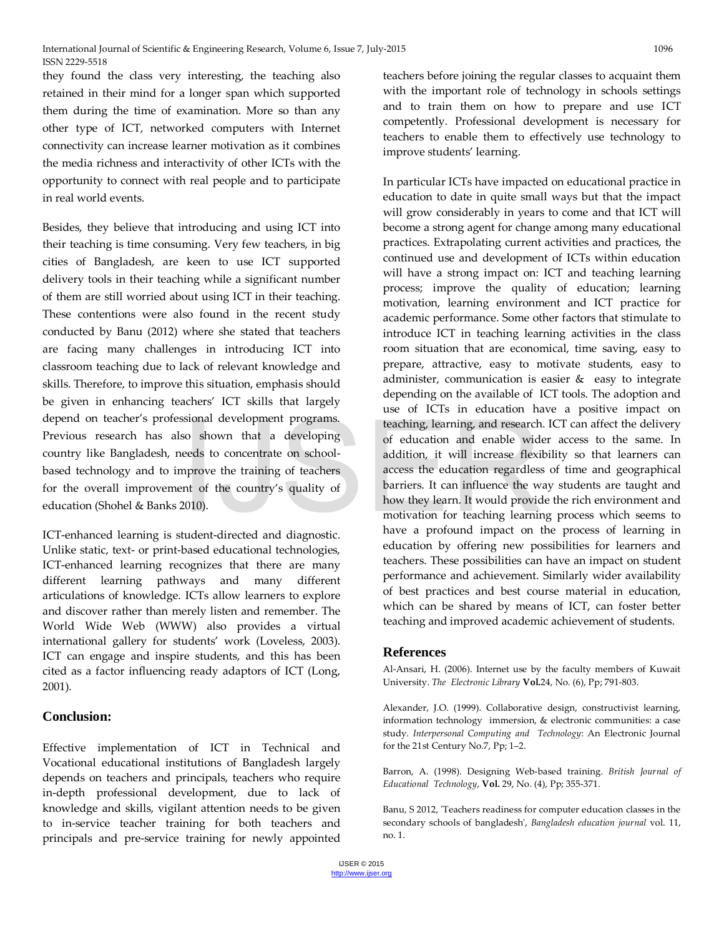they found the class very interesting, the teaching also retained in their mind for a longer span which supported them during the time of examination. More so than any other type of ICT, networked computers with Internet connectivity can increase learner motivation as it combines the media richness and interactivity of other ICTs with the opportunity to connect with real people and to participate in real world events.

Besides, they believe that introducing and using ICT into their teaching is time consuming. Very few teachers, in big cities of Bangladesh, are keen to use ICT supported delivery tools in their teaching while a significant number of them are still worried about using ICT in their teaching. These contentions were also found in the recent study conducted by Banu (2012) where she stated that teachers are facing many challenges in introducing ICT into classroom teaching due to lack of relevant knowledge and skills. Therefore, to improve this situation, emphasis should be given in enhancing teachers' ICT skills that largely depend on teacher's professional development programs. Previous research has also shown that a developing country like Bangladesh, needs to concentrate on schoolbased technology and to improve the training of teachers for the overall improvement of the country's quality of education (Shohel & Banks 2010).

ICT-enhanced learning is student-directed and diagnostic. Unlike static, text- or print-based educational technologies, ICT-enhanced learning recognizes that there are many different learning pathways and many different articulations of knowledge. ICTs allow learners to explore and discover rather than merely listen and remember. The World Wide Web (WWW) also provides a virtual international gallery for students' work (Loveless, 2003). ICT can engage and inspire students, and this has been cited as a factor influencing ready adaptors of ICT (Long, 2001).

#### **Conclusion:**

Effective implementation of ICT in Technical and Vocational educational institutions of Bangladesh largely depends on teachers and principals, teachers who require in-depth professional development, due to lack of knowledge and skills, vigilant attention needs to be given to in-service teacher training for both teachers and principals and pre-service training for newly appointed teachers before joining the regular classes to acquaint them with the important role of technology in schools settings and to train them on how to prepare and use ICT competently. Professional development is necessary for teachers to enable them to effectively use technology to improve students' learning.

In particular ICTs have impacted on educational practice in education to date in quite small ways but that the impact will grow considerably in years to come and that ICT will become a strong agent for change among many educational practices. Extrapolating current activities and practices, the continued use and development of ICTs within education will have a strong impact on: ICT and teaching learning process; improve the quality of education; learning motivation, learning environment and ICT practice for academic performance. Some other factors that stimulate to introduce ICT in teaching learning activities in the class room situation that are economical, time saving, easy to prepare, attractive, easy to motivate students, easy to administer, communication is easier  $\&$  easy to integrate depending on the available of ICT tools. The adoption and use of ICTs in education have a positive impact on teaching, learning, and research. ICT can affect the delivery of education and enable wider access to the same. In addition, it will increase flexibility so that learners can access the education regardless of time and geographical barriers. It can influence the way students are taught and how they learn. It would provide the rich environment and motivation for teaching learning process which seems to have a profound impact on the process of learning in education by offering new possibilities for learners and teachers. These possibilities can have an impact on student performance and achievement. Similarly wider availability of best practices and best course material in education, which can be shared by means of ICT, can foster better teaching and improved academic achievement of students. So shown that a developing<br>
second teaching, learning, and research<br>
of education and enable wider<br>
eeds to concentrate on school-<br>
addition, it will increase flexi<br>
access the education regardless<br>
access the education re

#### **References**

Al-Ansari, H. (2006). Internet use by the faculty members of Kuwait University. *The Electronic Library* **Vol.**24, No. (6), Pp; 791-803.

Alexander, J.O. (1999). Collaborative design, constructivist learning, information technology immersion, & electronic communities: a case study. *Interpersonal Computing and Technology*: An Electronic Journal for the 21st Century No.7, Pp; 1–2.

Barron, A. (1998). Designing Web-based training. *British Journal of Educational Technology*, **Vol.** 29, No. (4), Pp; 355-371.

Banu, S 2012, 'Teachers readiness for computer education classes in the secondary schools of bangladesh', *Bangladesh education journal* vol. 11, no. 1.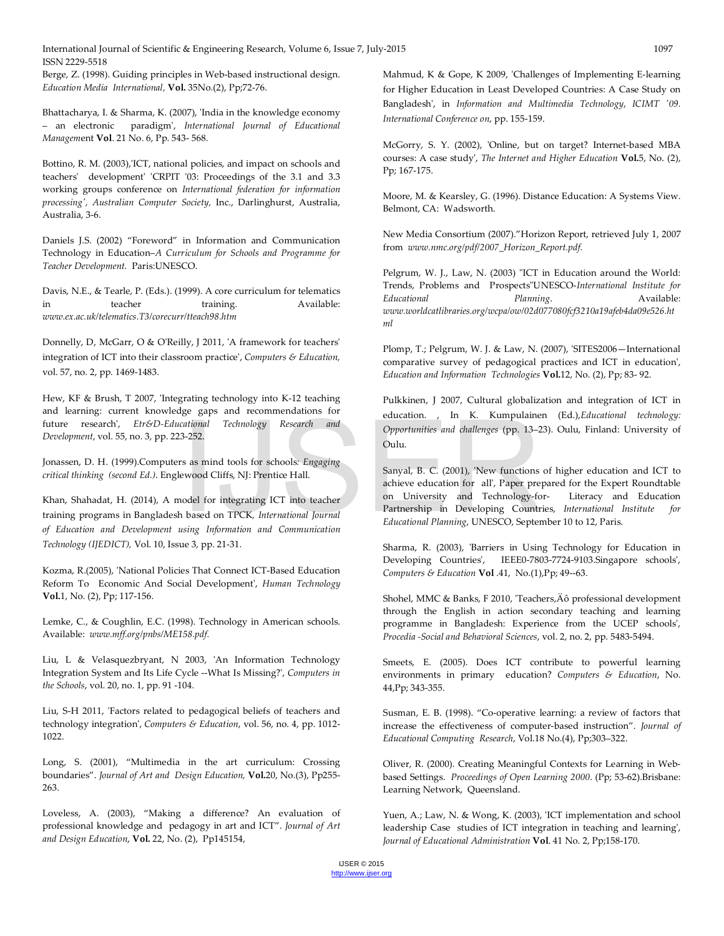Berge, Z. (1998). Guiding principles in Web-based instructional design. *Education Media International,* **Vol.** 35No.(2), Pp;72-76.

Bhattacharya, I. & Sharma, K. (2007), 'India in the knowledge economy – an electronic paradigm', *International Journal of Educational Managem*ent **Vol**. 21 No. 6, Pp. 543- 568.

Bottino, R. M. (2003),'ICT, national policies, and impact on schools and teachers' development' 'CRPIT '03: Proceedings of the 3.1 and 3.3 working groups conference on *International federation for information processing', Australian Computer Society,* Inc., Darlinghurst, Australia, Australia, 3-6.

Daniels J.S. (2002) "Foreword" in Information and Communication Technology in Education–*A Curriculum for Schools and Programme for Teacher Development.* Paris:UNESCO.

Davis, N.E., & Tearle, P. (Eds.). (1999). A core curriculum for telematics in teacher training. Available: *[www.ex.ac.uk/telematics.T3/corecurr/tteach98.htm](http://www.ex.ac.uk/telematics.T3/corecurr/tteach98.htm)*

Donnelly, D, McGarr, O & O'Reilly, J 2011, 'A framework for teachers' integration of ICT into their classroom practice', *Computers & Education,*  vol. 57, no. 2, pp. 1469-1483.

Hew, KF & Brush, T 2007, 'Integrating technology into K-12 teaching and learning: current knowledge gaps and recommendations for future research', *Etr&D-Educational Technology Research and Development*, vol. 55, no. 3, pp. 223-252.

Jonassen, D. H. (1999).Computers as mind tools for schools*: Engaging critical thinking (second Ed.)*. Englewood Cliffs, NJ: Prentice Hall.

Khan, Shahadat, H. (2014), A model for integrating ICT into teacher training programs in Bangladesh based on TPCK*, International Journal of Education and Development using Information and Communication Technology (IJEDICT),* Vol. 10, Issue 3, pp. 21-31.

Kozma, R.(2005), 'National Policies That Connect ICT-Based Education Reform To Economic And Social Development', *Human Technology* **Vol.**1, No. (2), Pp; 117-156.

Lemke, C., & Coughlin, E.C. (1998). Technology in American schools. Available: *[www.mff.org/pnbs/ME158.pdf.](http://www.mff.org/pnbs/ME158.pdf)* 

Liu, L & Velasquezbryant, N 2003, 'An Information Technology Integration System and Its Life Cycle --What Is Missing?', *Computers in the Schools*, vol. 20, no. 1, pp. 91 -104.

Liu, S-H 2011, 'Factors related to pedagogical beliefs of teachers and technology integration', *Computers & Education*, vol. 56, no. 4, pp. 1012- 1022.

Long, S. (2001), "Multimedia in the art curriculum: Crossing boundaries". *Journal of Art and Design Education,* **Vol.**20, No.(3), Pp255- 263.

Loveless, A. (2003), "Making a difference? An evaluation of professional knowledge and pedagogy in art and ICT". *Journal of Art and Design Education*, **Vol.** 22, No. (2), Pp145154,

Mahmud, K & Gope, K 2009, 'Challenges of Implementing E-learning for Higher Education in Least Developed Countries: A Case Study on Bangladesh', in *Information and Multimedia Technology*, *ICIMT '09. International Conference on*, pp. 155-159.

McGorry, S. Y. (2002), 'Online, but on target? Internet-based MBA courses: A case study', *The Internet and Higher Education* **Vol.**5, No. (2), Pp; 167-175.

Moore, M. & Kearsley, G. (1996). Distance Education: A Systems View. Belmont, CA: Wadsworth.

New Media Consortium (2007)."Horizon Report, retrieved July 1, 2007 from *[www.nmc.org/pdf/2007\\_Horizon\\_Report.pdf.](http://www.nmc.org/pdf/2007_Horizon_Report.pdf)* 

Pelgrum, W. J., Law, N. (2003) "ICT in Education around the World: Trends, Problems and Prospects"UNESCO-*International Institute for Educational Planning*. Available: *[www.worldcatlibraries.org/wcpa/ow/02d077080fcf3210a19afeb4da09e526.ht](http://www.worldcatlibraries.org/wcpa/ow/02d077080fcf3210a19afeb4da09e526.html) [ml](http://www.worldcatlibraries.org/wcpa/ow/02d077080fcf3210a19afeb4da09e526.html)*

Plomp, T.; Pelgrum, W. J. & Law, N. (2007), 'SITES2006—International comparative survey of pedagogical practices and ICT in education', *Education and Information Technologies* **Vol.**12, No. (2), Pp; 83- 92.

Pulkkinen, J 2007, Cultural globalization and integration of ICT in education. , In K. Kumpulainen (Ed.),*Educational technology: Opportunities and challenges* (pp. 13–23). Oulu, Finland: University of Oulu.

Sanyal, B. C. (2001), 'New functions of higher education and ICT to achieve education for all', Paper prepared for the Expert Roundtable on University and Technology-for- Literacy and Education Partnership in Developing Countries, *International Institute for Educational Planning*, UNESCO, September 10 to 12, Paris. Cational Technology Research and Opportunities and challenges (pp. 13–2<br>3-252.<br>
Sas as mind tools for schools: Engaging<br>
Electric Hall. Sanyal, B. C. (2001), 'New functions<br>
achieve education for all', Paper pre-<br>
prodel f

Sharma, R. (2003), 'Barriers in Using Technology for Education in Developing Countries', IEEE0-7803-7724-9103.Singapore schools', *Computers & Education* **Vol** .41, No.(1),Pp; 49--63.

Shohel, MMC & Banks, F 2010, 'Teachers, Äô professional development through the English in action secondary teaching and learning programme in Bangladesh: Experience from the UCEP schools', *Procedia -Social and Behavioral Sciences*, vol. 2, no. 2, pp. 5483-5494.

Smeets, E. (2005). Does ICT contribute to powerful learning environments in primary education? *Computers & Education*, No. 44,Pp; 343-355.

Susman, E. B. (1998). "Co-operative learning: a review of factors that increase the effectiveness of computer-based instruction". *Journal of Educational Computing Research*, Vol.18 No.(4), Pp;303–322.

Oliver, R. (2000). Creating Meaningful Contexts for Learning in Webbased Settings. *Proceedings of Open Learning 2000*. (Pp; 53-62).Brisbane: Learning Network, Queensland.

Yuen, A.; Law, N. & Wong, K. (2003), 'ICT implementation and school leadership Case studies of ICT integration in teaching and learning', *Journal of Educational Administration* **Vol**. 41 No. 2, Pp;158-170.